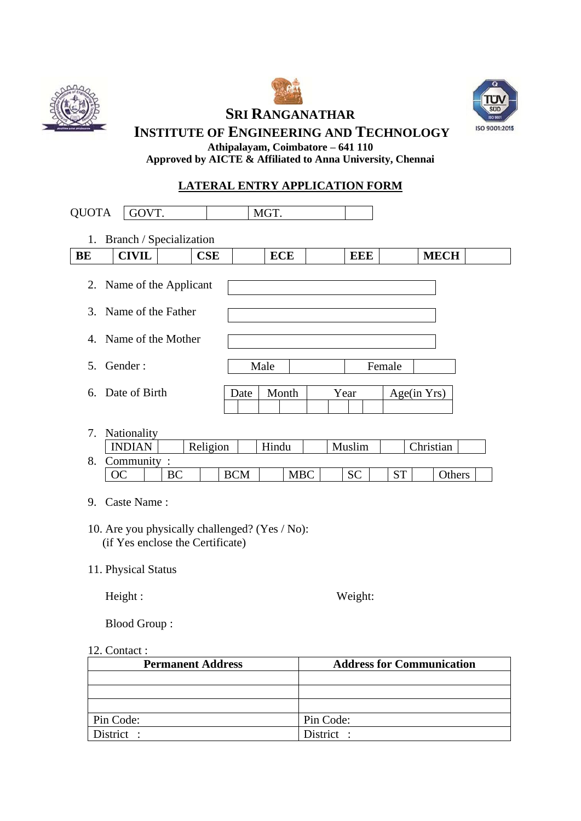





**SRI RANGANATHAR** 

**INSTITUTE OF ENGINEERING AND TECHNOLOGY Athipalayam, Coimbatore – 641 110 Approved by AICTE & Affiliated to Anna University, Chennai**

# **LATERAL ENTRY APPLICATION FORM**

| BE | <b>CIVIL</b>                |  | CSE      |                       | <b>ECE</b> |            |             | <b>EEE</b> |           |           | <b>MECH</b> |
|----|-----------------------------|--|----------|-----------------------|------------|------------|-------------|------------|-----------|-----------|-------------|
|    | 2. Name of the Applicant    |  |          |                       |            |            |             |            |           |           |             |
| 3. | Name of the Father          |  |          |                       |            |            |             |            |           |           |             |
| 4. | Name of the Mother          |  |          |                       |            |            |             |            |           |           |             |
| 5. | Gender:                     |  | Male     |                       |            |            | Female      |            |           |           |             |
| 6. | Date of Birth               |  |          | Month<br>Date<br>Year |            |            | Age(in Yrs) |            |           |           |             |
| 7. | Nationality                 |  |          |                       |            |            |             |            |           |           |             |
|    | <b>INDIAN</b><br>Community: |  | Religion |                       | Hindu      |            | Muslim      |            |           | Christian |             |
| 8. |                             |  |          | <b>BCM</b>            |            | <b>MBC</b> |             | <b>SC</b>  | <b>ST</b> |           | Others      |

(if Yes enclose the Certificate)

11. Physical Status

Height : Weight:

Blood Group :

## 12. Contact :

| <b>Permanent Address</b> | <b>Address for Communication</b> |
|--------------------------|----------------------------------|
|                          |                                  |
|                          |                                  |
|                          |                                  |
| Pin Code:                | Pin Code:                        |
| District :               | District :                       |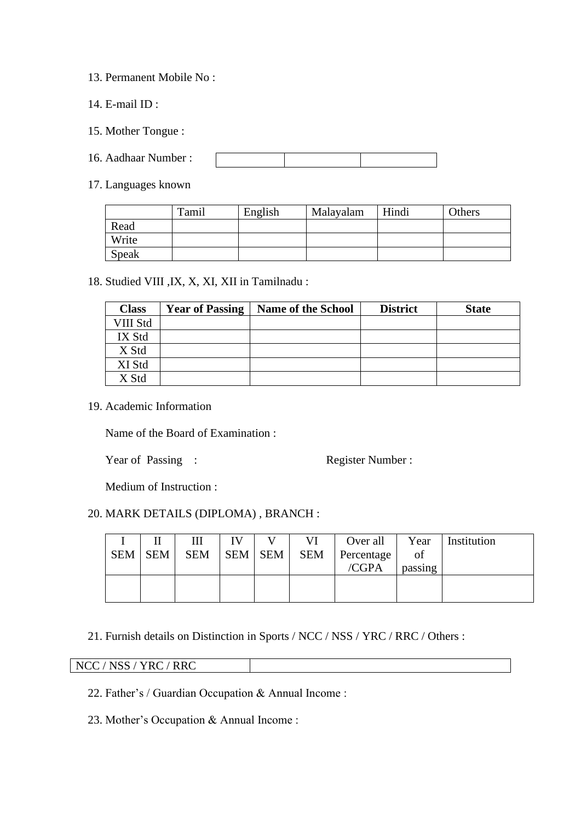- 13. Permanent Mobile No :
- 14. E-mail ID :
- 15. Mother Tongue :
- 16. Aadhaar Number :
- 17. Languages known

|       | Tamil | English | Malayalam | Hindi | Others |
|-------|-------|---------|-----------|-------|--------|
| Read  |       |         |           |       |        |
| Write |       |         |           |       |        |
| Speak |       |         |           |       |        |

#### 18. Studied VIII ,IX, X, XI, XII in Tamilnadu :

| <b>Class</b> | <b>Year of Passing</b> | <b>Name of the School</b> | <b>District</b> | <b>State</b> |
|--------------|------------------------|---------------------------|-----------------|--------------|
| VIII Std     |                        |                           |                 |              |
| IX Std       |                        |                           |                 |              |
| X Std        |                        |                           |                 |              |
| XI Std       |                        |                           |                 |              |
| X Std        |                        |                           |                 |              |

19. Academic Information

Name of the Board of Examination :

Year of Passing : Register Number :

Medium of Instruction :

## 20. MARK DETAILS (DIPLOMA) , BRANCH :

|           | Ш          | IV |           | VI         | Over all   | Year    | Institution |
|-----------|------------|----|-----------|------------|------------|---------|-------------|
| SEM   SEM | <b>SEM</b> |    | SEM   SEM | <b>SEM</b> | Percentage | of      |             |
|           |            |    |           |            | /CGPA      | passing |             |
|           |            |    |           |            |            |         |             |
|           |            |    |           |            |            |         |             |

21. Furnish details on Distinction in Sports / NCC / NSS / YRC / RRC / Others :

NCC / NSS / YRC / RRC

- 22. Father's / Guardian Occupation & Annual Income :
- 23. Mother's Occupation & Annual Income :